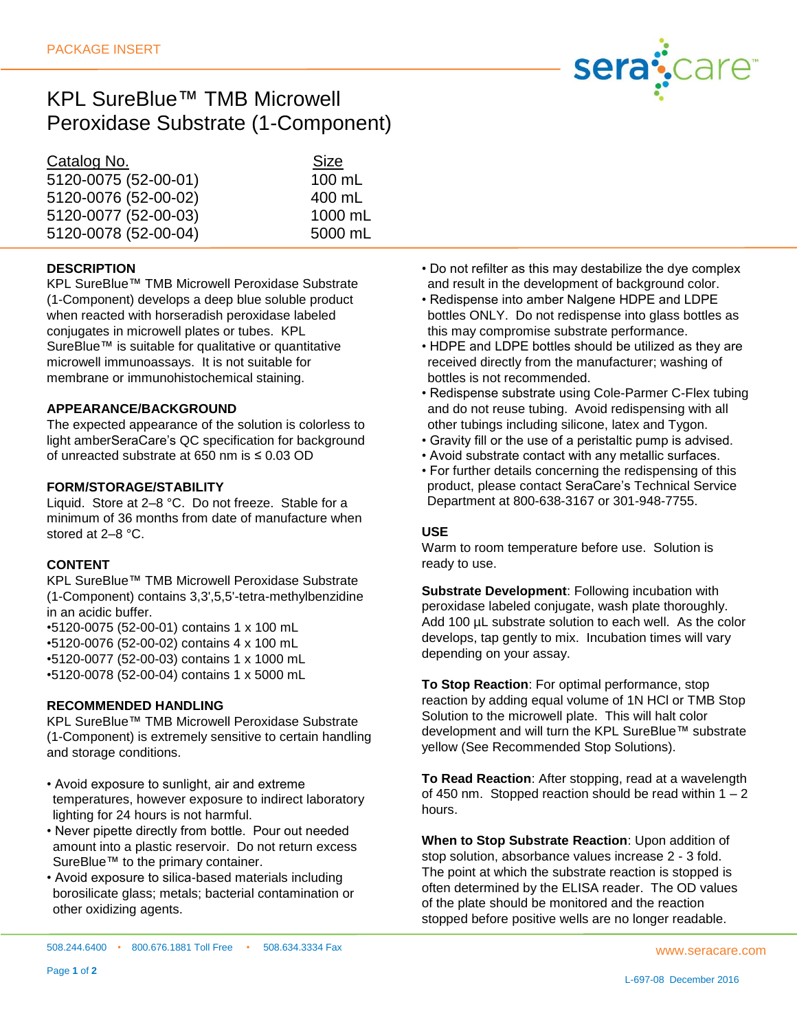

# KPL SureBlue™ TMB Microwell Peroxidase Substrate (1-Component)

| Catalog No.          | <b>Size</b> |
|----------------------|-------------|
| 5120-0075 (52-00-01) | 100 mL      |
| 5120-0076 (52-00-02) | 400 mL      |
| 5120-0077 (52-00-03) | 1000 mL     |
| 5120-0078 (52-00-04) | 5000 mL     |

## **DESCRIPTION**

KPL SureBlue™ TMB Microwell Peroxidase Substrate (1-Component) develops a deep blue soluble product when reacted with horseradish peroxidase labeled conjugates in microwell plates or tubes. KPL SureBlue™ is suitable for qualitative or quantitative microwell immunoassays. It is not suitable for membrane or immunohistochemical staining.

#### **APPEARANCE/BACKGROUND**

The expected appearance of the solution is colorless to light amberSeraCare's QC specification for background of unreacted substrate at 650 nm is ≤ 0.03 OD

## **FORM/STORAGE/STABILITY**

Liquid. Store at 2–8 °C. Do not freeze. Stable for a minimum of 36 months from date of manufacture when stored at 2–8 °C.

## **CONTENT**

Page **1** of **2**

KPL SureBlue™ TMB Microwell Peroxidase Substrate (1-Component) contains 3,3',5,5'-tetra-methylbenzidine in an acidic buffer.

•5120-0075 (52-00-01) contains 1 x 100 mL

•5120-0076 (52-00-02) contains 4 x 100 mL

•5120-0077 (52-00-03) contains 1 x 1000 mL

•5120-0078 (52-00-04) contains 1 x 5000 mL

## **RECOMMENDED HANDLING**

KPL SureBlue™ TMB Microwell Peroxidase Substrate (1-Component) is extremely sensitive to certain handling and storage conditions.

- Avoid exposure to sunlight, air and extreme temperatures, however exposure to indirect laboratory lighting for 24 hours is not harmful.
- Never pipette directly from bottle. Pour out needed amount into a plastic reservoir. Do not return excess SureBlue™ to the primary container.
- Avoid exposure to silica-based materials including borosilicate glass; metals; bacterial contamination or other oxidizing agents.

Department at 800-638-3167 or 301-948-7755.

bottles is not recommended.

## **USE**

Warm to room temperature before use. Solution is ready to use.

• Do not refilter as this may destabilize the dye complex and result in the development of background color. • Redispense into amber Nalgene HDPE and LDPE bottles ONLY. Do not redispense into glass bottles as

• HDPE and LDPE bottles should be utilized as they are received directly from the manufacturer; washing of

• Redispense substrate using Cole-Parmer C-Flex tubing and do not reuse tubing. Avoid redispensing with all other tubings including silicone, latex and Tygon. • Gravity fill or the use of a peristaltic pump is advised. • Avoid substrate contact with any metallic surfaces. • For further details concerning the redispensing of this product, please contact SeraCare's Technical Service

this may compromise substrate performance.

**Substrate Development**: Following incubation with peroxidase labeled conjugate, wash plate thoroughly. Add 100 µL substrate solution to each well. As the color develops, tap gently to mix. Incubation times will vary depending on your assay.

**To Stop Reaction**: For optimal performance, stop reaction by adding equal volume of 1N HCl or TMB Stop Solution to the microwell plate. This will halt color development and will turn the KPL SureBlue™ substrate yellow (See Recommended Stop Solutions).

**To Read Reaction**: After stopping, read at a wavelength of 450 nm. Stopped reaction should be read within  $1 - 2$ hours.

**When to Stop Substrate Reaction**: Upon addition of stop solution, absorbance values increase 2 - 3 fold. The point at which the substrate reaction is stopped is often determined by the ELISA reader. The OD values of the plate should be monitored and the reaction stopped before positive wells are no longer readable.